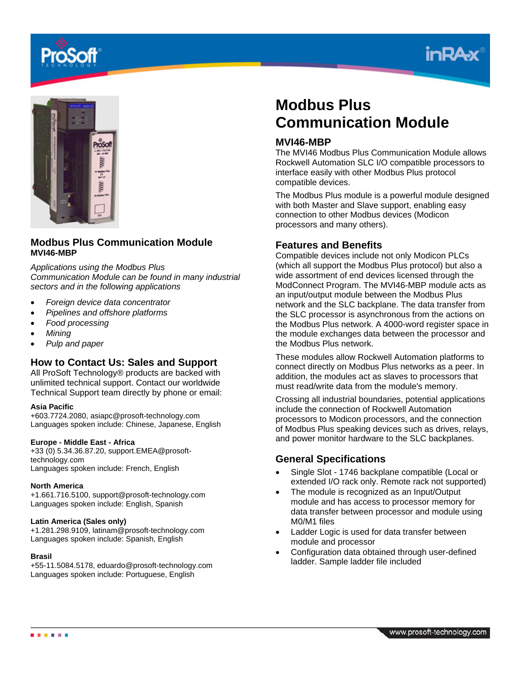





# **Modbus Plus Communication Module MVI46-MBP**

*Applications using the Modbus Plus Communication Module can be found in many industrial sectors and in the following applications* 

- *Foreign device data concentrator*
- *Pipelines and offshore platforms*
- *Food processing*
- *Mining*
- *Pulp and paper*

## **How to Contact Us: Sales and Support**

All ProSoft Technology® products are backed with unlimited technical support. Contact our worldwide Technical Support team directly by phone or email:

#### **Asia Pacific**

+603.7724.2080, asiapc@prosoft-technology.com Languages spoken include: Chinese, Japanese, English

### **Europe - Middle East - Africa**

+33 (0) 5.34.36.87.20, support.EMEA@prosofttechnology.com Languages spoken include: French, English

#### **North America**

+1.661.716.5100, support@prosoft-technology.com Languages spoken include: English, Spanish

#### **Latin America (Sales only)**

+1.281.298.9109, latinam@prosoft-technology.com Languages spoken include: Spanish, English

#### **Brasil**

+55-11.5084.5178, eduardo@prosoft-technology.com Languages spoken include: Portuguese, English

# **Modbus Plus Communication Module**

### **MVI46-MBP**

The MVI46 Modbus Plus Communication Module allows Rockwell Automation SLC I/O compatible processors to interface easily with other Modbus Plus protocol compatible devices.

The Modbus Plus module is a powerful module designed with both Master and Slave support, enabling easy connection to other Modbus devices (Modicon processors and many others).

### **Features and Benefits**

Compatible devices include not only Modicon PLCs (which all support the Modbus Plus protocol) but also a wide assortment of end devices licensed through the ModConnect Program. The MVI46-MBP module acts as an input/output module between the Modbus Plus network and the SLC backplane. The data transfer from the SLC processor is asynchronous from the actions on the Modbus Plus network. A 4000-word register space in the module exchanges data between the processor and the Modbus Plus network.

These modules allow Rockwell Automation platforms to connect directly on Modbus Plus networks as a peer. In addition, the modules act as slaves to processors that must read/write data from the module's memory.

Crossing all industrial boundaries, potential applications include the connection of Rockwell Automation processors to Modicon processors, and the connection of Modbus Plus speaking devices such as drives, relays, and power monitor hardware to the SLC backplanes.

## **General Specifications**

- Single Slot 1746 backplane compatible (Local or extended I/O rack only. Remote rack not supported)
- The module is recognized as an Input/Output module and has access to processor memory for data transfer between processor and module using M0/M1 files
- Ladder Logic is used for data transfer between module and processor
- Configuration data obtained through user-defined ladder. Sample ladder file included